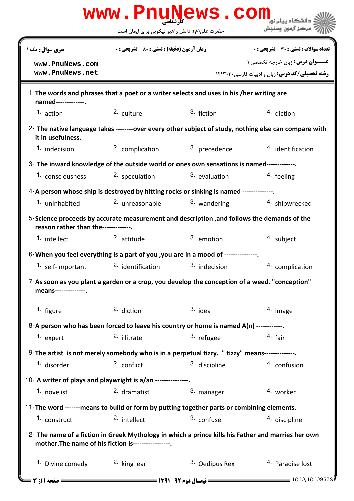|                                                                                                                                                             |                                               | www.PnuNews.com           |                                                                                                       |  |  |
|-------------------------------------------------------------------------------------------------------------------------------------------------------------|-----------------------------------------------|---------------------------|-------------------------------------------------------------------------------------------------------|--|--|
|                                                                                                                                                             | حضرت علی(ع): دانش راهبر نیکویی برای ایمان است |                           | مركز آزمون وسنجش                                                                                      |  |  |
| <b>سری سوال :</b> یک ۱                                                                                                                                      | زمان آزمون (دقیقه) : تستی : 80 ٪ تشریحی : 0   |                           | <b>تعداد سوالات : تستی : 30 ٪ تشریحی : 0</b>                                                          |  |  |
| www.PnuNews.com                                                                                                                                             |                                               |                           | <b>عنــوان درس:</b> زبان خارجه تخصصی ۱                                                                |  |  |
| www.PnuNews.net                                                                                                                                             |                                               |                           | <b>رشته تحصیلی/کد درس: زبان و ادبیات فارسی۲۰۲۰ × 1213</b>                                             |  |  |
| 1-The words and phrases that a poet or a writer selects and uses in his /her writing are<br>named-------------.                                             |                                               |                           |                                                                                                       |  |  |
| 1. action                                                                                                                                                   | 2. culture                                    | 3. fiction                | 4. diction                                                                                            |  |  |
| it in usefulness.                                                                                                                                           |                                               |                           | 2- The native language takes --------over every other subject of study, nothing else can compare with |  |  |
| 1. indecision                                                                                                                                               | 2. complication                               | 3. precedence             | 4. identification                                                                                     |  |  |
| 3- The inward knowledge of the outside world or ones own sensations is named-------------.                                                                  |                                               |                           |                                                                                                       |  |  |
| 1. consciousness                                                                                                                                            | 2. speculation                                | 3. evaluation             | 4. feeling                                                                                            |  |  |
| 4-A person whose ship is destroyed by hitting rocks or sinking is named --------------                                                                      |                                               |                           |                                                                                                       |  |  |
| 1. uninhabited                                                                                                                                              | 2. unreasonable                               |                           | 3. wandering 5. The 4. shipwrecked                                                                    |  |  |
| 5-Science proceeds by accurate measurement and description, and follows the demands of the<br>reason rather than the-------------.                          |                                               |                           |                                                                                                       |  |  |
| 1. intellect                                                                                                                                                | 2. attitude                                   | 3. emotion                | 4. subject                                                                                            |  |  |
| 6-When you feel everything is a part of you , you are in a mood of --------------                                                                           |                                               |                           |                                                                                                       |  |  |
| 1. self-important                                                                                                                                           | 2. identification                             | 3. indecision             | 4. complication                                                                                       |  |  |
| 7-As soon as you plant a garden or a crop, you develop the conception of a weed. "conception"<br>means---------------                                       |                                               |                           |                                                                                                       |  |  |
| 1. figure                                                                                                                                                   | 2. diction                                    | $3.$ idea                 | 4. image                                                                                              |  |  |
| 8-A person who has been forced to leave his country or home is named A(n) ------------.                                                                     |                                               |                           |                                                                                                       |  |  |
| 1. expert                                                                                                                                                   | 2. illitrate                                  | 3. refugee                | $4.$ fair                                                                                             |  |  |
| 9- The artist is not merely somebody who is in a perpetual tizzy. " tizzy" means--------------.                                                             |                                               |                           |                                                                                                       |  |  |
| 1. disorder                                                                                                                                                 | 2. conflict                                   | 3. discipline             | 4. confusion                                                                                          |  |  |
| 10- A writer of plays and playwright is a/an ---------------                                                                                                |                                               |                           |                                                                                                       |  |  |
| 1. novelist                                                                                                                                                 | 2. dramatist                                  | 3. manager                | 4. worker                                                                                             |  |  |
| 11-The word -------means to build or form by putting together parts or combining elements.                                                                  |                                               |                           |                                                                                                       |  |  |
| <sup>1.</sup> construct                                                                                                                                     | 2. intellect                                  | 3. confuse                | 4. discipline                                                                                         |  |  |
| 12- The name of a fiction in Greek Mythology in which a prince kills his Father and marries her own<br>mother. The name of his fiction is-----------------. |                                               |                           |                                                                                                       |  |  |
| 1. Divine comedy                                                                                                                                            | <sup>2.</sup> king lear                       | <sup>3.</sup> Oedipus Rex | <sup>4</sup> Paradise lost                                                                            |  |  |
| <b>صفحه 11ز 3 =</b>                                                                                                                                         |                                               |                           | 1010/10109578                                                                                         |  |  |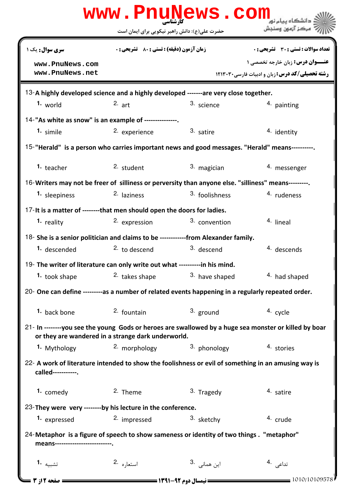|                                                                                                                                                             | www.PnuNews.com                                    |                         |                                                        |  |  |  |
|-------------------------------------------------------------------------------------------------------------------------------------------------------------|----------------------------------------------------|-------------------------|--------------------------------------------------------|--|--|--|
|                                                                                                                                                             | حضرت علی(ع): دانش راهبر نیکویی برای ایمان است      |                         | مركز آزمون وسنجش                                       |  |  |  |
| <b>سری سوال :</b> یک ۱                                                                                                                                      | <b>زمان آزمون (دقیقه) : تستی : 80 ٪ تشریحی : 0</b> |                         | <b>تعداد سوالات : تستی : 30 ٪ تشریحی : 0</b>           |  |  |  |
| www.PnuNews.com                                                                                                                                             |                                                    |                         | <b>عنـــوان درس:</b> زبان خارجه تخصصی ۱                |  |  |  |
| www.PnuNews.net                                                                                                                                             |                                                    |                         | <b>رشته تحصیلی/کد درس: زبان و ادبیات فارسی۲۰۲۰٬۰۰۰</b> |  |  |  |
| 13-A highly developed science and a highly developed -------are very close together.                                                                        |                                                    |                         |                                                        |  |  |  |
| 1. world                                                                                                                                                    | $2.$ art                                           | 3. science              | <sup>4</sup> painting                                  |  |  |  |
| 14-"As white as snow" is an example of ---------------.                                                                                                     |                                                    |                         |                                                        |  |  |  |
| 1. simile                                                                                                                                                   | 2. experience                                      | 3. satire               | 4. identity                                            |  |  |  |
| 15-"Herald" is a person who carries important news and good messages. "Herald" means----------                                                              |                                                    |                         |                                                        |  |  |  |
| 1. teacher                                                                                                                                                  | 2. student                                         | 3. magician             | 4. messenger                                           |  |  |  |
| 16-Writers may not be freer of silliness or perversity than anyone else. "silliness" means---------                                                         |                                                    |                         |                                                        |  |  |  |
| 1. sleepiness                                                                                                                                               | <sup>2.</sup> laziness                             | 3. foolishness          | 4. rudeness                                            |  |  |  |
| 17-It is a matter of --------that men should open the doors for ladies.                                                                                     |                                                    |                         |                                                        |  |  |  |
| 1. reality                                                                                                                                                  | 2. expression                                      | 3. convention           | 4. lineal                                              |  |  |  |
| 18- She is a senior politician and claims to be ------------from Alexander family.                                                                          |                                                    |                         |                                                        |  |  |  |
| 1. descended                                                                                                                                                | $2.$ to descend                                    | 3. descend              | 4. descends                                            |  |  |  |
| 19- The writer of literature can only write out what -----------in his mind.                                                                                |                                                    |                         |                                                        |  |  |  |
| <sup>1</sup> took shape                                                                                                                                     | 2. takes shape                                     | 3. have shaped          | <sup>4.</sup> had shaped                               |  |  |  |
| 20- One can define ---------as a number of related events happening in a regularly repeated order.                                                          |                                                    |                         |                                                        |  |  |  |
| <sup>1.</sup> back bone                                                                                                                                     | 2. fountain                                        | $3.$ ground             | 4. cycle                                               |  |  |  |
| 21- In --------you see the young Gods or heroes are swallowed by a huge sea monster or killed by boar<br>or they are wandered in a strange dark underworld. |                                                    |                         |                                                        |  |  |  |
| 1. Mythology                                                                                                                                                | 2. morphology                                      | 3. phonology            | 4. stories                                             |  |  |  |
| 22- A work of literature intended to show the foolishness or evil of something in an amusing way is<br>called-----------.                                   |                                                    |                         |                                                        |  |  |  |
| 1. comedy                                                                                                                                                   | 2. Theme                                           | 3. Tragedy              | 4. satire                                              |  |  |  |
| 23-They were very --------by his lecture in the conference.                                                                                                 |                                                    |                         |                                                        |  |  |  |
| 1. expressed                                                                                                                                                | 2. impressed                                       | 3. sketchy              | 4. crude                                               |  |  |  |
| 24-Metaphor is a figure of speech to show sameness or identity of two things. "metaphor"<br>means------------------------                                   |                                                    |                         |                                                        |  |  |  |
| تشبيه <b>1.</b>                                                                                                                                             | استعا <sub>د</sub> ه .2                            | این همانی <sup>.3</sup> | تداعی .4                                               |  |  |  |
| صفحه 12ز 3                                                                                                                                                  |                                                    |                         | 1010/10109578                                          |  |  |  |